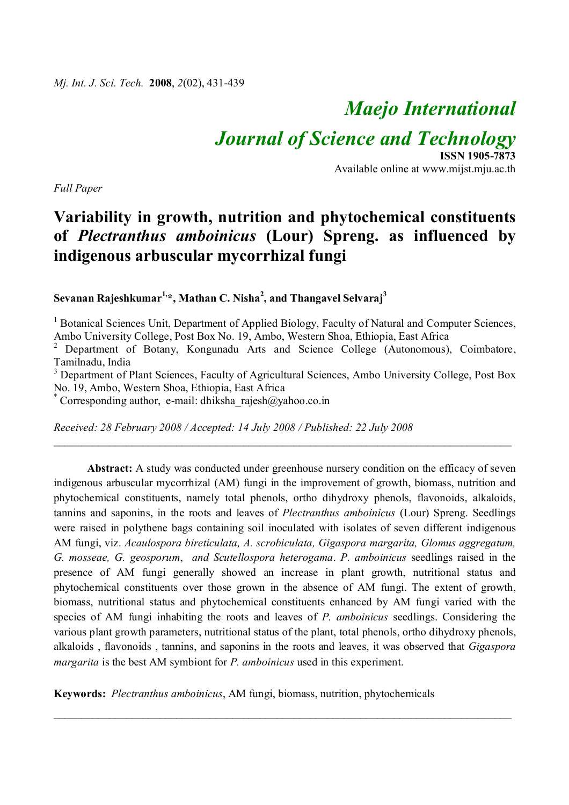# *Maejo International*

*Journal of Science and Technology*

*Full Paper*

### **ISSN 1905-7873** Available online at www.mijst.mju.ac.th

## **Variability in growth, nutrition and phytochemical constituents of** *Plectranthus amboinicus* **(Lour) Spreng. as influenced by indigenous arbuscular mycorrhizal fungi**

**Sevanan Rajeshkumar1, \*, Mathan C. Nisha<sup>2</sup> , and Thangavel Selvaraj<sup>3</sup>**

<sup>1</sup> Botanical Sciences Unit, Department of Applied Biology, Faculty of Natural and Computer Sciences, Ambo University College, Post Box No. 19, Ambo, Western Shoa, Ethiopia, East Africa

<sup>2</sup> Department of Botany, Kongunadu Arts and Science College (Autonomous), Coimbatore, Tamilnadu, India

<sup>3</sup> Department of Plant Sciences, Faculty of Agricultural Sciences, Ambo University College, Post Box No. 19, Ambo, Western Shoa, Ethiopia, East Africa

\_\_\_\_\_\_\_\_\_\_\_\_\_\_\_\_\_\_\_\_\_\_\_\_\_\_\_\_\_\_\_\_\_\_\_\_\_\_\_\_\_\_\_\_\_\_\_\_\_\_\_\_\_\_\_\_\_\_\_\_\_\_\_\_\_\_\_\_\_\_\_\_\_\_\_\_\_\_\_\_\_\_

\* Corresponding author, e-mail: dhiksha\_rajesh@yahoo.co.in

*Received: 28 February 2008 / Accepted: 14 July 2008 / Published: 22 July 2008*

Abstract: A study was conducted under greenhouse nursery condition on the efficacy of seven indigenous arbuscular mycorrhizal (AM) fungi in the improvement of growth, biomass, nutrition and phytochemical constituents, namely total phenols, ortho dihydroxy phenols, flavonoids, alkaloids, tannins and saponins, in the roots and leaves of *Plectranthus amboinicus* (Lour) Spreng. Seedlings were raised in polythene bags containing soil inoculated with isolates of seven different indigenous AM fungi, viz. *Acaulospora bireticulata, A. scrobiculata, Gigaspora margarita, Glomus aggregatum, G. mosseae, G. geosporum*, *and Scutellospora heterogama*. *P. amboinicus* seedlings raised in the presence of AM fungi generally showed an increase in plant growth, nutritional status and phytochemical constituents over those grown in the absence of AM fungi. The extent of growth, biomass, nutritional status and phytochemical constituents enhanced by AM fungi varied with the species of AM fungi inhabiting the roots and leaves of *P. amboinicus* seedlings. Considering the various plant growth parameters, nutritional status of the plant, total phenols, ortho dihydroxy phenols, alkaloids , flavonoids , tannins, and saponins in the roots and leaves, it was observed that *Gigaspora margarita* is the best AM symbiont for *P. amboinicus* used in this experiment.

\_\_\_\_\_\_\_\_\_\_\_\_\_\_\_\_\_\_\_\_\_\_\_\_\_\_\_\_\_\_\_\_\_\_\_\_\_\_\_\_\_\_\_\_\_\_\_\_\_\_\_\_\_\_\_\_\_\_\_\_\_\_\_\_\_\_\_\_\_\_\_\_\_\_\_\_\_\_\_\_\_\_

**Keywords:** *Plectranthus amboinicus*, AM fungi, biomass, nutrition, phytochemicals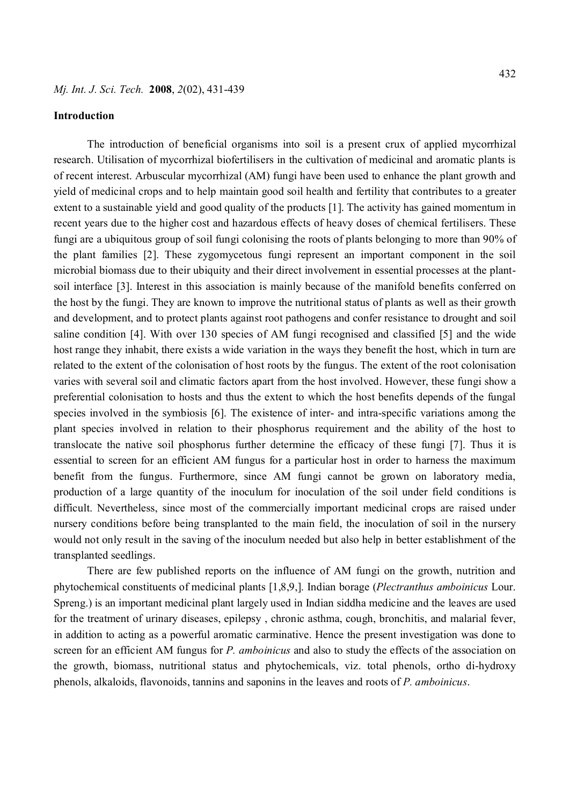#### **Introduction**

The introduction of beneficial organisms into soil is a present crux of applied mycorrhizal research. Utilisation of mycorrhizal biofertilisers in the cultivation of medicinal and aromatic plants is of recent interest. Arbuscular mycorrhizal (AM) fungi have been used to enhance the plant growth and yield of medicinal crops and to help maintain good soil health and fertility that contributes to a greater extent to a sustainable yield and good quality of the products [1]. The activity has gained momentum in recent years due to the higher cost and hazardous effects of heavy doses of chemical fertilisers. These fungi are a ubiquitous group of soil fungi colonising the roots of plants belonging to more than 90% of the plant families [2]. These zygomycetous fungi represent an important component in the soil microbial biomass due to their ubiquity and their direct involvement in essential processes at the plantsoil interface [3]. Interest in this association is mainly because of the manifold benefits conferred on the host by the fungi. They are known to improve the nutritional status of plants as well as their growth and development, and to protect plants against root pathogens and confer resistance to drought and soil saline condition [4]. With over 130 species of AM fungi recognised and classified [5] and the wide host range they inhabit, there exists a wide variation in the ways they benefit the host, which in turn are related to the extent of the colonisation of host roots by the fungus. The extent of the root colonisation varies with several soil and climatic factors apart from the host involved. However, these fungi show a preferential colonisation to hosts and thus the extent to which the host benefits depends of the fungal species involved in the symbiosis [6]. The existence of inter- and intra-specific variations among the plant species involved in relation to their phosphorus requirement and the ability of the host to translocate the native soil phosphorus further determine the efficacy of these fungi [7]. Thus it is essential to screen for an efficient AM fungus for a particular host in order to harness the maximum benefit from the fungus. Furthermore, since AM fungi cannot be grown on laboratory media, production of a large quantity of the inoculum for inoculation of the soil under field conditions is difficult. Nevertheless, since most of the commercially important medicinal crops are raised under nursery conditions before being transplanted to the main field, the inoculation of soil in the nursery would not only result in the saving of the inoculum needed but also help in better establishment of the transplanted seedlings.

There are few published reports on the influence of AM fungi on the growth, nutrition and phytochemical constituents of medicinal plants [1,8,9,]. Indian borage (*Plectranthus amboinicus* Lour. Spreng.) is an important medicinal plant largely used in Indian siddha medicine and the leaves are used for the treatment of urinary diseases, epilepsy , chronic asthma, cough, bronchitis, and malarial fever, in addition to acting as a powerful aromatic carminative. Hence the present investigation was done to screen for an efficient AM fungus for *P. amboinicus* and also to study the effects of the association on the growth, biomass, nutritional status and phytochemicals, viz. total phenols, ortho di-hydroxy phenols, alkaloids, flavonoids, tannins and saponins in the leaves and roots of *P. amboinicus*.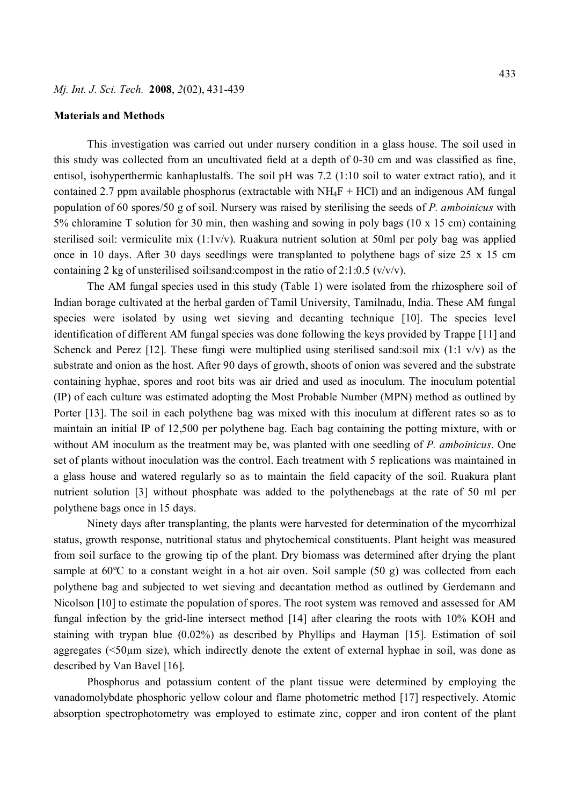#### **Materials and Methods**

This investigation was carried out under nursery condition in a glass house. The soil used in this study was collected from an uncultivated field at a depth of 0-30 cm and was classified as fine, entisol, isohyperthermic kanhaplustalfs. The soil pH was 7.2 (1:10 soil to water extract ratio), and it contained 2.7 ppm available phosphorus (extractable with  $NH_4F + HCl$ ) and an indigenous AM fungal population of 60 spores/50 g of soil. Nursery was raised by sterilising the seeds of *P. amboinicus* with 5% chloramine T solution for 30 min, then washing and sowing in poly bags (10 x 15 cm) containing sterilised soil: vermiculite mix (1:1v/v). Ruakura nutrient solution at 50ml per poly bag was applied once in 10 days. After 30 days seedlings were transplanted to polythene bags of size 25 x 15 cm containing 2 kg of unsterilised soil:sand:compost in the ratio of  $2:1:0.5$  (v/v/v).

The AM fungal species used in this study (Table 1) were isolated from the rhizosphere soil of Indian borage cultivated at the herbal garden of Tamil University, Tamilnadu, India. These AM fungal species were isolated by using wet sieving and decanting technique [10]. The species level identification of different AM fungal species was done following the keys provided by Trappe [11] and Schenck and Perez [12]. These fungi were multiplied using sterilised sand:soil mix (1:1 v/v) as the substrate and onion as the host. After 90 days of growth, shoots of onion was severed and the substrate containing hyphae, spores and root bits was air dried and used as inoculum. The inoculum potential (IP) of each culture was estimated adopting the Most Probable Number (MPN) method as outlined by Porter [13]. The soil in each polythene bag was mixed with this inoculum at different rates so as to maintain an initial IP of 12,500 per polythene bag. Each bag containing the potting mixture, with or without AM inoculum as the treatment may be, was planted with one seedling of *P. amboinicus*. One set of plants without inoculation was the control. Each treatment with 5 replications was maintained in a glass house and watered regularly so as to maintain the field capacity of the soil. Ruakura plant nutrient solution [3] without phosphate was added to the polythenebags at the rate of 50 ml per polythene bags once in 15 days.

Ninety days after transplanting, the plants were harvested for determination of the mycorrhizal status, growth response, nutritional status and phytochemical constituents. Plant height was measured from soil surface to the growing tip of the plant. Dry biomass was determined after drying the plant sample at 60<sup>o</sup>C to a constant weight in a hot air oven. Soil sample (50 g) was collected from each polythene bag and subjected to wet sieving and decantation method as outlined by Gerdemann and Nicolson [10] to estimate the population of spores. The root system was removed and assessed for AM fungal infection by the grid-line intersect method [14] after clearing the roots with 10% KOH and staining with trypan blue (0.02%) as described by Phyllips and Hayman [15]. Estimation of soil aggregates (<50µm size), which indirectly denote the extent of external hyphae in soil, was done as described by Van Bavel [16].

Phosphorus and potassium content of the plant tissue were determined by employing the vanadomolybdate phosphoric yellow colour and flame photometric method [17] respectively. Atomic absorption spectrophotometry was employed to estimate zinc, copper and iron content of the plant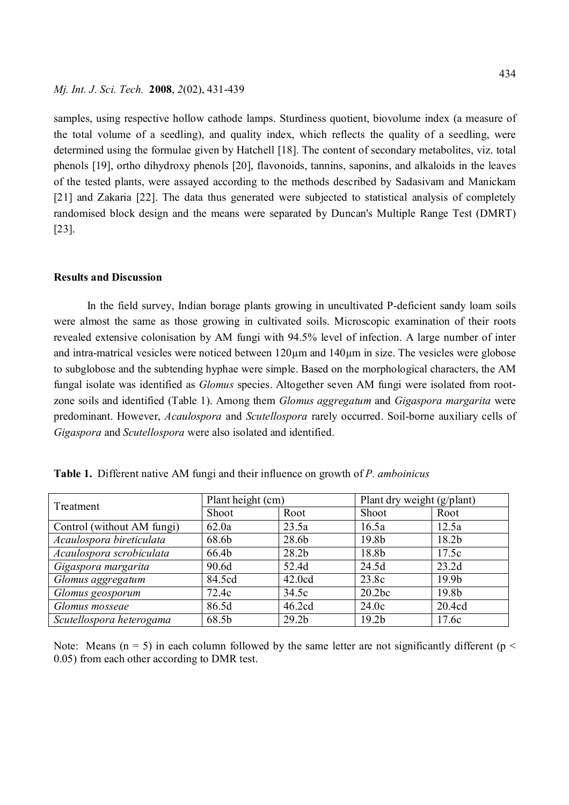samples, using respective hollow cathode lamps. Sturdiness quotient, biovolume index (a measure of the total volume of a seedling), and quality index, which reflects the quality of a seedling, were determined using the formulae given by Hatchell [18]. The content of secondary metabolites, viz. total phenols [19], ortho dihydroxy phenols [20], flavonoids, tannins, saponins, and alkaloids in the leaves of the tested plants, were assayed according to the methods described by Sadasivam and Manickam [21] and Zakaria [22]. The data thus generated were subjected to statistical analysis of completely randomised block design and the means were separated by Duncan's Multiple Range Test (DMRT) [23].

#### **Results and Discussion**

In the field survey, Indian borage plants growing in uncultivated P-deficient sandy loam soils were almost the same as those growing in cultivated soils. Microscopic examination of their roots revealed extensive colonisation by AM fungi with 94.5% level of infection. A large number of inter and intra-matrical vesicles were noticed between 120µm and 140µm in size. The vesicles were globose to subglobose and the subtending hyphae were simple. Based on the morphological characters, the AM fungal isolate was identified as *Glomus* species. Altogether seven AM fungi were isolated from rootzone soils and identified (Table 1). Among them *Glomus aggregatum* and *Gigaspora margarita* were predominant. However, *Acaulospora* and *Scutellospora* rarely occurred. Soil-borne auxiliary cells of *Gigaspora* and *Scutellospora* were also isolated and identified.

| Treatment                  | Plant height (cm) |                   | Plant dry weight (g/plant) |                   |  |
|----------------------------|-------------------|-------------------|----------------------------|-------------------|--|
|                            | Shoot             | Root              | Shoot                      | Root              |  |
| Control (without AM fungi) | 62.0a             | 23.5a             | 16.5a                      | 12.5a             |  |
| Acaulospora bireticulata   | 68.6b             | 28.6b             | 19.8 <sub>b</sub>          | 18.2 <sub>b</sub> |  |
| Acaulospora scrobiculata   | 66.4b             | 28.2 <sub>b</sub> | 18.8b                      | 17.5c             |  |
| Gigaspora margarita        | 90.6d             | 52.4d             | 24.5d                      | 23.2d             |  |
| Glomus aggregatum          | 84.5cd            | 42.0cd            | 23.8c                      | 19.9 <sub>b</sub> |  |
| Glomus geosporum           | 72.4c             | 34.5c             | 20.2bc                     | 19.8 <sub>b</sub> |  |
| Glomus mosseae             | 86.5d             | 46.2cd            | 24.0c                      | 20.4cd            |  |
| Scutellospora heterogama   | 68.5b             | 29.2 <sub>b</sub> | 19.2 <sub>b</sub>          | 17.6c             |  |

**Table 1.** Different native AM fungi and their influence on growth of *P. amboinicus*

Note: Means ( $n = 5$ ) in each column followed by the same letter are not significantly different ( $p <$ 0.05) from each other according to DMR test.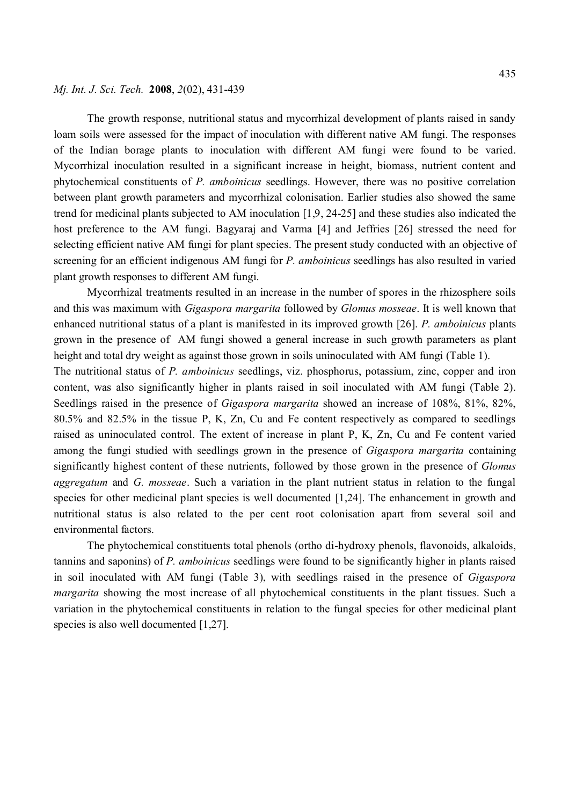The growth response, nutritional status and mycorrhizal development of plants raised in sandy loam soils were assessed for the impact of inoculation with different native AM fungi. The responses of the Indian borage plants to inoculation with different AM fungi were found to be varied. Mycorrhizal inoculation resulted in a significant increase in height, biomass, nutrient content and phytochemical constituents of *P. amboinicus* seedlings. However, there was no positive correlation between plant growth parameters and mycorrhizal colonisation. Earlier studies also showed the same trend for medicinal plants subjected to AM inoculation [1,9, 24-25] and these studies also indicated the host preference to the AM fungi. Bagyaraj and Varma [4] and Jeffries [26] stressed the need for selecting efficient native AM fungi for plant species. The present study conducted with an objective of screening for an efficient indigenous AM fungi for *P. amboinicus* seedlings has also resulted in varied plant growth responses to different AM fungi.

Mycorrhizal treatments resulted in an increase in the number of spores in the rhizosphere soils and this was maximum with *Gigaspora margarita* followed by *Glomus mosseae*. It is well known that enhanced nutritional status of a plant is manifested in its improved growth [26]. *P. amboinicus* plants grown in the presence of AM fungi showed a general increase in such growth parameters as plant height and total dry weight as against those grown in soils uninoculated with AM fungi (Table 1). The nutritional status of *P. amboinicus* seedlings, viz. phosphorus, potassium, zinc, copper and iron content, was also significantly higher in plants raised in soil inoculated with AM fungi (Table 2). Seedlings raised in the presence of *Gigaspora margarita* showed an increase of 108%, 81%, 82%, 80.5% and 82.5% in the tissue P, K, Zn, Cu and Fe content respectively as compared to seedlings raised as uninoculated control. The extent of increase in plant P, K, Zn, Cu and Fe content varied

among the fungi studied with seedlings grown in the presence of *Gigaspora margarita* containing significantly highest content of these nutrients, followed by those grown in the presence of *Glomus aggregatum* and *G. mosseae*. Such a variation in the plant nutrient status in relation to the fungal species for other medicinal plant species is well documented [1,24]. The enhancement in growth and nutritional status is also related to the per cent root colonisation apart from several soil and environmental factors.

The phytochemical constituents total phenols (ortho di-hydroxy phenols, flavonoids, alkaloids, tannins and saponins) of *P. amboinicus* seedlings were found to be significantly higher in plants raised in soil inoculated with AM fungi (Table 3), with seedlings raised in the presence of *Gigaspora margarita* showing the most increase of all phytochemical constituents in the plant tissues. Such a variation in the phytochemical constituents in relation to the fungal species for other medicinal plant species is also well documented [1,27].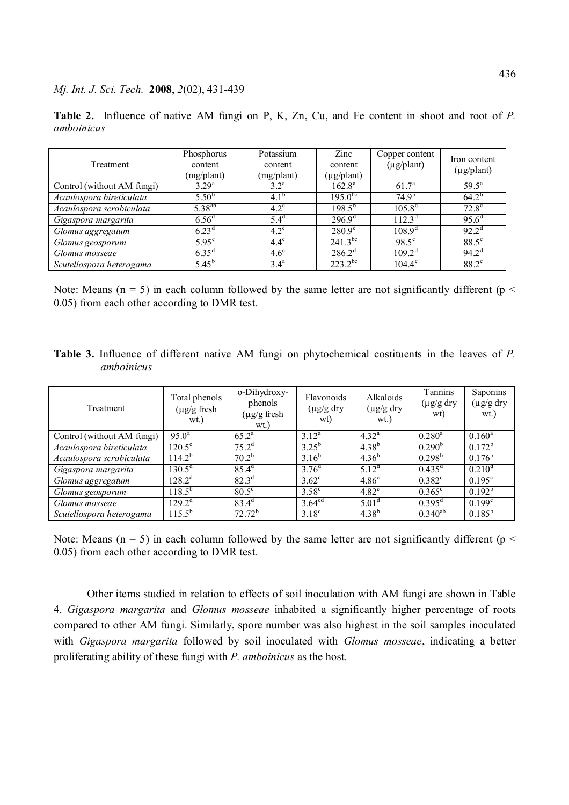**Table 2.** Influence of native AM fungi on P, K, Zn, Cu, and Fe content in shoot and root of *P. amboinicus*

| Treatment                  | Phosphorus<br>content | Potassium<br>content | Zinc<br>content | Copper content<br>$(\mu g$ /plant) | Iron content<br>$(\mu g$ /plant) |
|----------------------------|-----------------------|----------------------|-----------------|------------------------------------|----------------------------------|
|                            | (mg/plant)            | (mg/plant)           | (µg/plant)      |                                    |                                  |
| Control (without AM fungi) | $3.29^{a}$            | $3.2^{\rm a}$        | $162.8^{\rm a}$ | 61.7 <sup>a</sup>                  | $59.5^{\rm a}$                   |
| Acaulospora bireticulata   | $5.50^{b}$            | $4.1^{b}$            | $195.0^{bc}$    | $74.9^{b}$                         | $64.2^{b}$                       |
| Acaulospora scrobiculata   | $5.38^{ab}$           | $4.2^{\circ}$        | $198.5^{b}$     | $105.8^{\circ}$                    | $72.8^\circ$                     |
| Gigaspora margarita        | 6.56 <sup>d</sup>     | $5.4^{\circ}$        | $296.9^{\circ}$ | $112.3^{\text{d}}$                 | $95.6^{\circ}$                   |
| Glomus aggregatum          | $6.23^{\rm d}$        | $4.2^{\circ}$        | $280.9^{\circ}$ | $108.9^d$                          | $92.2^{\rm d}$                   |
| Glomus geosporum           | $5.95^{\circ}$        | $4.4^\circ$          | $241.3^{bc}$    | $98.5^{\circ}$                     | $88.5^{\circ}$                   |
| Glomus mosseae             | $6.35^{\rm d}$        | $4.6^\circ$          | $286.2^{\rm d}$ | $109.2^{\text{d}}$                 | $94.2^{\rm d}$                   |
| Scutellospora heterogama   | $5.45^{b}$            | 3.4 <sup>a</sup>     | $223.2^{bc}$    | $104.4^{\circ}$                    | $88.2^{\circ}$                   |

Note: Means ( $n = 5$ ) in each column followed by the same letter are not significantly different ( $p <$ 0.05) from each other according to DMR test.

**Table 3.** Influence of different native AM fungi on phytochemical costituents in the leaves of *P. amboinicus*

| Treatment                  | Total phenols<br>$(\mu$ g/g fresh<br>wt.) | o-Dihydroxy-<br>phenols<br>$(\mu g/g$ fresh<br>wt.) | Flavonoids<br>$(\mu g/g \, dry)$<br>wt) | Alkaloids<br>$(\mu g/g \,$ dry<br>wt.) | Tannins<br>$(\mu g/g \, dry)$<br>wt) | Saponins<br>$(\mu g/g \,$ dry<br>wt.) |
|----------------------------|-------------------------------------------|-----------------------------------------------------|-----------------------------------------|----------------------------------------|--------------------------------------|---------------------------------------|
| Control (without AM fungi) | $95.0^{\text{a}}$                         | $65.2^{\text{a}}$                                   | $3.12^a$                                | $4.32^{a}$                             | $0.280^a$                            | $0.160^a$                             |
| Acaulospora bireticulata   | $120.5^{\circ}$                           | 75.2 <sup>d</sup>                                   | $3.25^{b}$                              | $4.38^{b}$                             | 0.290 <sup>b</sup>                   | $0.172^{b}$                           |
| Acaulospora scrobiculata   | $114.2^b$                                 | $70.2^{b}$                                          | $3.16^{b}$                              | $4.36^{b}$                             | $0.298^{\rm b}$                      | $0.176^{b}$                           |
| Gigaspora margarita        | $130.5^{\rm d}$                           | $85.4^d$                                            | $3.76^{d}$                              | $5.12^d$                               | $0.435^d$                            | $0.210^d$                             |
| Glomus aggregatum          | $128.2^{\rm d}$                           | $82.3^{d}$                                          | $3.62^{\circ}$                          | 4.86 <sup>c</sup>                      | $0.382^{\circ}$                      | $0.195^{\circ}$                       |
| Glomus geosporum           | $118.5^{b}$                               | $80.5^{\circ}$                                      | $3.58^\circ$                            | $4.82^{\circ}$                         | $0.365^{\circ}$                      | $0.192^b$                             |
| Glomus mosseae             | $129.2^{\text{d}}$                        | $83.4^d$                                            | 3.64 <sup>cd</sup>                      | 5.01 <sup>d</sup>                      | $0.395^d$                            | $0.199^c$                             |
| Scutellospora heterogama   | $115.5^{b}$                               | $72.72^b$                                           | $3.18^{\circ}$                          | $4.38^{b}$                             | $0.3\overline{40^{ab}}$              | $0.185^{b}$                           |

Note: Means ( $n = 5$ ) in each column followed by the same letter are not significantly different ( $p <$ 0.05) from each other according to DMR test.

Other items studied in relation to effects of soil inoculation with AM fungi are shown in Table 4. *Gigaspora margarita* and *Glomus mosseae* inhabited a significantly higher percentage of roots compared to other AM fungi. Similarly, spore number was also highest in the soil samples inoculated with *Gigaspora margarita* followed by soil inoculated with *Glomus mosseae*, indicating a better proliferating ability of these fungi with *P. amboinicus* as the host.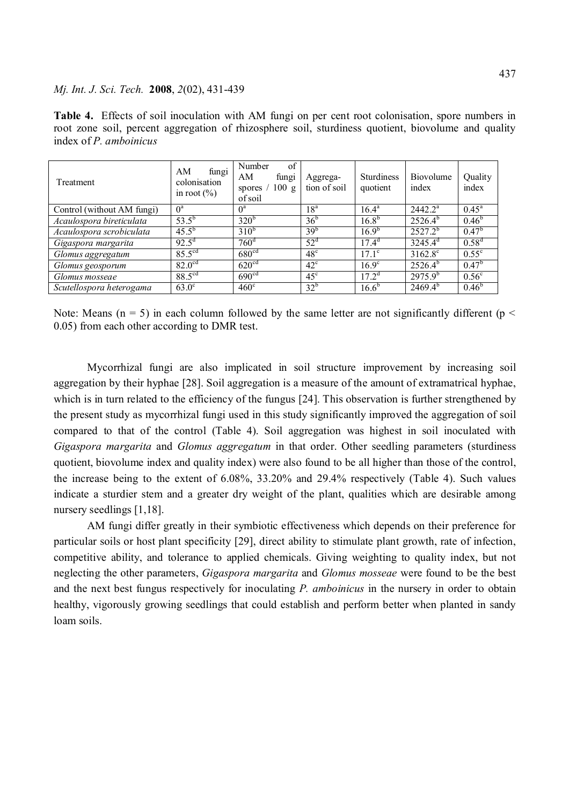**Table 4.** Effects of soil inoculation with AM fungi on per cent root colonisation, spore numbers in root zone soil, percent aggregation of rhizosphere soil, sturdiness quotient, biovolume and quality index of *P. amboinicus*

| Treatment                  | AM<br>fungi<br>colonisation<br>in root $(\% )$ | of<br>Number<br>AM<br>fungi<br>spores $/ 100 g$<br>of soil | Aggrega-<br>tion of soil | <b>Sturdiness</b><br>quotient | Biovolume<br>index | Quality<br>index  |
|----------------------------|------------------------------------------------|------------------------------------------------------------|--------------------------|-------------------------------|--------------------|-------------------|
| Control (without AM fungi) | $0^a$                                          | $0^a$                                                      | 18 <sup>a</sup>          | $16.4^{\rm a}$                | $2442.2^a$         | $0.45^{\text{a}}$ |
| Acaulospora bireticulata   | $53.5^{b}$                                     | $320^{b}$                                                  | 36 <sup>b</sup>          | $16.8^{b}$                    | $2526.4^{b}$       | $0.46^{b}$        |
| Acaulospora scrobiculata   | $45.5^{b}$                                     | $310^b$                                                    | 39 <sup>b</sup>          | $16.9^{b}$                    | $2527.2^{b}$       | $0.47^{\rm b}$    |
| Gigaspora margarita        | $92.5^{\rm d}$                                 | 760 <sup>d</sup>                                           | $52^{\circ}$             | $17.4^d$                      | $3245.4^d$         | $0.58^{d}$        |
| Glomus aggregatum          | $85.5^{\text{cd}}$                             | 680 <sup>cd</sup>                                          | $48^\circ$               | $17.1^{\circ}$                | $3162.8^{\circ}$   | $0.55^{\circ}$    |
| Glomus geosporum           | 82.0 <sup>cd</sup>                             | 620 <sup>cd</sup>                                          | $42^{\circ}$             | $16.9^{\circ}$                | $2526.4^{b}$       | 0.47 <sup>b</sup> |
| Glomus mosseae             | $88.5^{\text{cd}}$                             | 690 <sup>cd</sup>                                          | $45^{\circ}$             | $17.2^{\rm d}$                | $2975.9^{b}$       | $0.56^{\circ}$    |
| Scutellospora heterogama   | $63.0^\circ$                                   | $460^{\circ}$                                              | 32 <sup>b</sup>          | $16.6^{b}$                    | $2469.4^{b}$       | $0.46^{b}$        |

Note: Means ( $n = 5$ ) in each column followed by the same letter are not significantly different ( $p <$ 0.05) from each other according to DMR test.

Mycorrhizal fungi are also implicated in soil structure improvement by increasing soil aggregation by their hyphae [28]. Soil aggregation is a measure of the amount of extramatrical hyphae, which is in turn related to the efficiency of the fungus [24]. This observation is further strengthened by the present study as mycorrhizal fungi used in this study significantly improved the aggregation of soil compared to that of the control (Table 4). Soil aggregation was highest in soil inoculated with *Gigaspora margarita* and *Glomus aggregatum* in that order. Other seedling parameters (sturdiness quotient, biovolume index and quality index) were also found to be all higher than those of the control, the increase being to the extent of 6.08%, 33.20% and 29.4% respectively (Table 4). Such values indicate a sturdier stem and a greater dry weight of the plant, qualities which are desirable among nursery seedlings [1,18].

AM fungi differ greatly in their symbiotic effectiveness which depends on their preference for particular soils or host plant specificity [29], direct ability to stimulate plant growth, rate of infection, competitive ability, and tolerance to applied chemicals. Giving weighting to quality index, but not neglecting the other parameters, *Gigaspora margarita* and *Glomus mosseae* were found to be the best and the next best fungus respectively for inoculating *P. amboinicus* in the nursery in order to obtain healthy, vigorously growing seedlings that could establish and perform better when planted in sandy loam soils.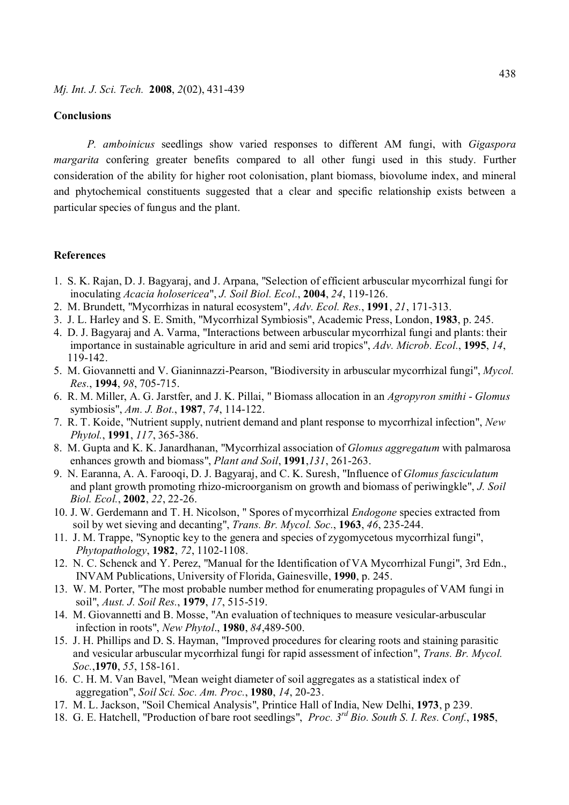#### **Conclusions**

*P. amboinicus* seedlings show varied responses to different AM fungi, with *Gigaspora margarita* confering greater benefits compared to all other fungi used in this study. Further consideration of the ability for higher root colonisation, plant biomass, biovolume index, and mineral and phytochemical constituents suggested that a clear and specific relationship exists between a particular species of fungus and the plant.

#### **References**

- 1. S. K. Rajan, D. J. Bagyaraj, and J. Arpana, "Selection of efficient arbuscular mycorrhizal fungi for inoculating *Acacia holosericea*", *J. Soil Biol. Ecol.*, **2004**, *24*, 119-126.
- 2. M. Brundett, "Mycorrhizas in natural ecosystem", *Adv. Ecol. Res.*, **1991**, *21*, 171-313.
- 3. J. L. Harley and S. E. Smith, "Mycorrhizal Symbiosis", Academic Press, London, **1983**, p. 245.
- 4. D. J. Bagyaraj and A. Varma, "Interactions between arbuscular mycorrhizal fungi and plants: their importance in sustainable agriculture in arid and semi arid tropics", *Adv. Microb. Ecol.*, **1995**, *14*, 119-142.
- 5. M. Giovannetti and V. Gianinnazzi-Pearson, "Biodiversity in arbuscular mycorrhizal fungi", *Mycol. Res.*, **1994**, *98*, 705-715.
- 6. R. M. Miller, A. G. Jarstfer, and J. K. Pillai, " Biomass allocation in an *Agropyron smithi Glomus* symbiosis", *Am. J. Bot.*, **1987**, *74*, 114-122.
- 7. R. T. Koide, "Nutrient supply, nutrient demand and plant response to mycorrhizal infection", *New Phytol.*, **1991**, *117*, 365-386.
- 8. M. Gupta and K. K. Janardhanan, "Mycorrhizal association of *Glomus aggregatum* with palmarosa enhances growth and biomass", *Plant and Soil*, **1991**,*131*, 261-263.
- 9. N. Earanna, A. A. Farooqi, D. J. Bagyaraj, and C. K. Suresh, "Influence of *Glomus fasciculatum* and plant growth promoting rhizo-microorganism on growth and biomass of periwingkle", *J. Soil Biol. Ecol.*, **2002**, *22*, 22-26.
- 10. J. W. Gerdemann and T. H. Nicolson, " Spores of mycorrhizal *Endogone* species extracted from soil by wet sieving and decanting", *Trans. Br. Mycol. Soc.*, **1963**, *46*, 235-244.
- 11. J. M. Trappe, "Synoptic key to the genera and species of zygomycetous mycorrhizal fungi", *Phytopathology*, **1982**, *72*, 1102-1108.
- 12. N. C. Schenck and Y. Perez, "Manual for the Identification of VA Mycorrhizal Fungi", 3rd Edn., INVAM Publications, University of Florida, Gainesville, **1990**, p. 245.
- 13. W. M. Porter, "The most probable number method for enumerating propagules of VAM fungi in soil", *Aust. J. Soil Res.*, **1979**, *17*, 515-519.
- 14. M. Giovannetti and B. Mosse, "An evaluation of techniques to measure vesicular-arbuscular infection in roots", *New Phytol*., **1980**, *84*,489-500.
- 15. J. H. Phillips and D. S. Hayman, "Improved procedures for clearing roots and staining parasitic and vesicular arbuscular mycorrhizal fungi for rapid assessment of infection", *Trans. Br. Mycol. Soc.*,**1970**, *55*, 158-161.
- 16. C. H. M. Van Bavel, "Mean weight diameter of soil aggregates as a statistical index of aggregation", *Soil Sci. Soc. Am. Proc.*, **1980**, *14*, 20-23.
- 17. M. L. Jackson, "Soil Chemical Analysis", Printice Hall of India, New Delhi, **1973**, p 239.
- 18. G. E. Hatchell, "Production of bare root seedlings", *Proc. 3rd Bio. South S. I. Res. Conf.*, **1985**,